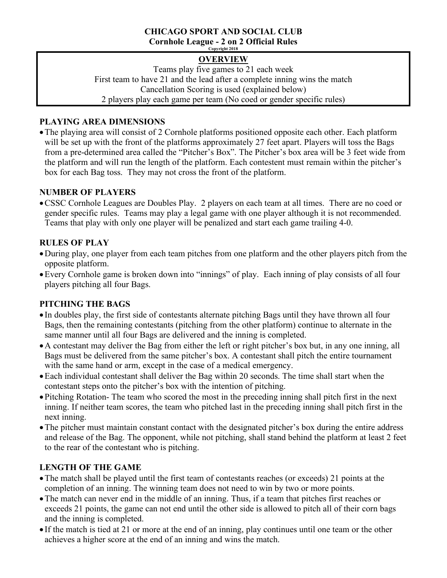# **CHICAGO SPORT AND SOCIAL CLUB**

**Cornhole League - 2 on 2 Official Rules Copyright 2018**

# **OVERVIEW**

Teams play five games to 21 each week First team to have 21 and the lead after a complete inning wins the match Cancellation Scoring is used (explained below) 2 players play each game per team (No coed or gender specific rules)

# **PLAYING AREA DIMENSIONS**

•The playing area will consist of 2 Cornhole platforms positioned opposite each other. Each platform will be set up with the front of the platforms approximately 27 feet apart. Players will toss the Bags from a pre-determined area called the "Pitcher's Box". The Pitcher's box area will be 3 feet wide from the platform and will run the length of the platform. Each contestent must remain within the pitcher's box for each Bag toss. They may not cross the front of the platform.

# **NUMBER OF PLAYERS**

•CSSC Cornhole Leagues are Doubles Play. 2 players on each team at all times. There are no coed or gender specific rules. Teams may play a legal game with one player although it is not recommended. Teams that play with only one player will be penalized and start each game trailing 4-0.

# **RULES OF PLAY**

- •During play, one player from each team pitches from one platform and the other players pitch from the opposite platform.
- •Every Cornhole game is broken down into "innings" of play. Each inning of play consists of all four players pitching all four Bags.

## **PITCHING THE BAGS**

- In doubles play, the first side of contestants alternate pitching Bags until they have thrown all four Bags, then the remaining contestants (pitching from the other platform) continue to alternate in the same manner until all four Bags are delivered and the inning is completed.
- •A contestant may deliver the Bag from either the left or right pitcher's box but, in any one inning, all Bags must be delivered from the same pitcher's box. A contestant shall pitch the entire tournament with the same hand or arm, except in the case of a medical emergency.
- •Each individual contestant shall deliver the Bag within 20 seconds. The time shall start when the contestant steps onto the pitcher's box with the intention of pitching.
- Pitching Rotation- The team who scored the most in the preceding inning shall pitch first in the next inning. If neither team scores, the team who pitched last in the preceding inning shall pitch first in the next inning.
- •The pitcher must maintain constant contact with the designated pitcher's box during the entire address and release of the Bag. The opponent, while not pitching, shall stand behind the platform at least 2 feet to the rear of the contestant who is pitching.

# **LENGTH OF THE GAME**

- •The match shall be played until the first team of contestants reaches (or exceeds) 21 points at the completion of an inning. The winning team does not need to win by two or more points.
- •The match can never end in the middle of an inning. Thus, if a team that pitches first reaches or exceeds 21 points, the game can not end until the other side is allowed to pitch all of their corn bags and the inning is completed.
- If the match is tied at 21 or more at the end of an inning, play continues until one team or the other achieves a higher score at the end of an inning and wins the match.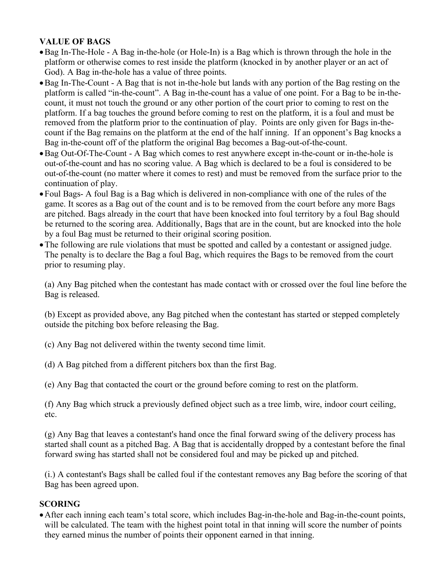### **VALUE OF BAGS**

- •Bag In-The-Hole A Bag in-the-hole (or Hole-In) is a Bag which is thrown through the hole in the platform or otherwise comes to rest inside the platform (knocked in by another player or an act of God). A Bag in-the-hole has a value of three points.
- •Bag In-The-Count A Bag that is not in-the-hole but lands with any portion of the Bag resting on the platform is called "in-the-count". A Bag in-the-count has a value of one point. For a Bag to be in-thecount, it must not touch the ground or any other portion of the court prior to coming to rest on the platform. If a bag touches the ground before coming to rest on the platform, it is a foul and must be removed from the platform prior to the continuation of play. Points are only given for Bags in-thecount if the Bag remains on the platform at the end of the half inning. If an opponent's Bag knocks a Bag in-the-count off of the platform the original Bag becomes a Bag-out-of-the-count.
- •Bag Out-Of-The-Count A Bag which comes to rest anywhere except in-the-count or in-the-hole is out-of-the-count and has no scoring value. A Bag which is declared to be a foul is considered to be out-of-the-count (no matter where it comes to rest) and must be removed from the surface prior to the continuation of play.
- Foul Bags- A foul Bag is a Bag which is delivered in non-compliance with one of the rules of the game. It scores as a Bag out of the count and is to be removed from the court before any more Bags are pitched. Bags already in the court that have been knocked into foul territory by a foul Bag should be returned to the scoring area. Additionally, Bags that are in the count, but are knocked into the hole by a foul Bag must be returned to their original scoring position.
- •The following are rule violations that must be spotted and called by a contestant or assigned judge. The penalty is to declare the Bag a foul Bag, which requires the Bags to be removed from the court prior to resuming play.

(a) Any Bag pitched when the contestant has made contact with or crossed over the foul line before the Bag is released.

(b) Except as provided above, any Bag pitched when the contestant has started or stepped completely outside the pitching box before releasing the Bag.

- (c) Any Bag not delivered within the twenty second time limit.
- (d) A Bag pitched from a different pitchers box than the first Bag.

(e) Any Bag that contacted the court or the ground before coming to rest on the platform.

(f) Any Bag which struck a previously defined object such as a tree limb, wire, indoor court ceiling, etc.

(g) Any Bag that leaves a contestant's hand once the final forward swing of the delivery process has started shall count as a pitched Bag. A Bag that is accidentally dropped by a contestant before the final forward swing has started shall not be considered foul and may be picked up and pitched.

(i.) A contestant's Bags shall be called foul if the contestant removes any Bag before the scoring of that Bag has been agreed upon.

### **SCORING**

•After each inning each team's total score, which includes Bag-in-the-hole and Bag-in-the-count points, will be calculated. The team with the highest point total in that inning will score the number of points they earned minus the number of points their opponent earned in that inning.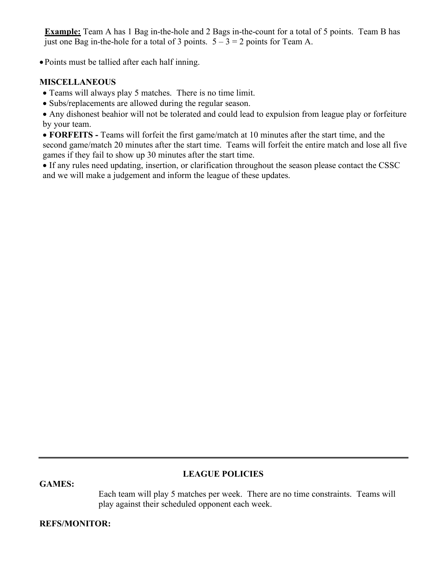**Example:** Team A has 1 Bag in-the-hole and 2 Bags in-the-count for a total of 5 points. Team B has just one Bag in-the-hole for a total of 3 points.  $5 - 3 = 2$  points for Team A.

• Points must be tallied after each half inning.

### **MISCELLANEOUS**

- Teams will always play 5 matches. There is no time limit.
- Subs/replacements are allowed during the regular season.

• Any dishonest beahior will not be tolerated and could lead to expulsion from league play or forfeiture by your team.

• **FORFEITS -** Teams will forfeit the first game/match at 10 minutes after the start time, and the second game/match 20 minutes after the start time. Teams will forfeit the entire match and lose all five games if they fail to show up 30 minutes after the start time.

• If any rules need updating, insertion, or clarification throughout the season please contact the CSSC and we will make a judgement and inform the league of these updates.

#### **GAMES:**

### **LEAGUE POLICIES**

Each team will play 5 matches per week. There are no time constraints. Teams will play against their scheduled opponent each week.

### **REFS/MONITOR:**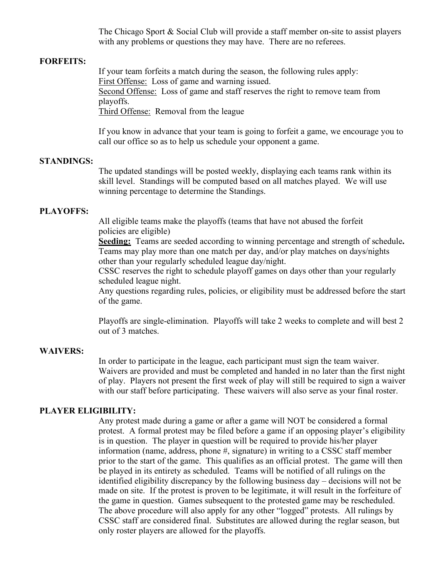The Chicago Sport & Social Club will provide a staff member on-site to assist players with any problems or questions they may have. There are no referees.

#### **FORFEITS:**

If your team forfeits a match during the season, the following rules apply: First Offense: Loss of game and warning issued. Second Offense: Loss of game and staff reserves the right to remove team from playoffs.

Third Offense: Removal from the league

If you know in advance that your team is going to forfeit a game, we encourage you to call our office so as to help us schedule your opponent a game.

#### **STANDINGS:**

The updated standings will be posted weekly, displaying each teams rank within its skill level. Standings will be computed based on all matches played. We will use winning percentage to determine the Standings.

#### **PLAYOFFS:**

All eligible teams make the playoffs (teams that have not abused the forfeit policies are eligible)

**Seeding:** Teams are seeded according to winning percentage and strength of schedule**.** Teams may play more than one match per day, and/or play matches on days/nights other than your regularly scheduled league day/night.

CSSC reserves the right to schedule playoff games on days other than your regularly scheduled league night.

Any questions regarding rules, policies, or eligibility must be addressed before the start of the game.

Playoffs are single-elimination. Playoffs will take 2 weeks to complete and will best 2 out of 3 matches.

#### **WAIVERS:**

In order to participate in the league, each participant must sign the team waiver. Waivers are provided and must be completed and handed in no later than the first night of play. Players not present the first week of play will still be required to sign a waiver with our staff before participating. These waivers will also serve as your final roster.

#### **PLAYER ELIGIBILITY:**

Any protest made during a game or after a game will NOT be considered a formal protest. A formal protest may be filed before a game if an opposing player's eligibility is in question. The player in question will be required to provide his/her player information (name, address, phone #, signature) in writing to a CSSC staff member prior to the start of the game. This qualifies as an official protest. The game will then be played in its entirety as scheduled. Teams will be notified of all rulings on the identified eligibility discrepancy by the following business day – decisions will not be made on site. If the protest is proven to be legitimate, it will result in the forfeiture of the game in question. Games subsequent to the protested game may be rescheduled. The above procedure will also apply for any other "logged" protests. All rulings by CSSC staff are considered final. Substitutes are allowed during the reglar season, but only roster players are allowed for the playoffs.